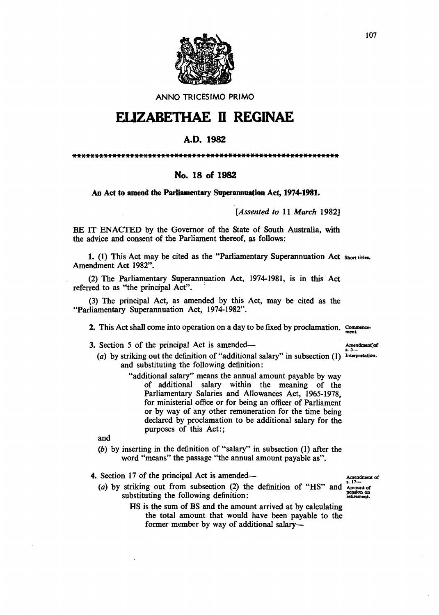

ANNO TRICESIMO PRIMO

## **ELIZABETHAE II REGINAE**

## A.D. 1982

\*\*\*\*\*\*\*\*\*\*\*\*\*\*\*\*\*\*\*\*\*\*\*\*\*\*\*\*\*\*\*\*\*\*\*\*\*\*\*\*\*\*\*\*\*\*\*\*\*\*\*\*\*\*\*\*\*\*\*\*

## No. 18 of 1982

## An Act to amend the Parliamentary Superannuation Act, 1974-1981.

*[Assented to* 11 *March 1982]* 

BE IT ENACTED by the Governor of the State of South Australia, with the advice and consent of the Parliament thereof, as follows:

1. (1) This Act may be cited as the "Parliamentary Superannuation Act short titles. Amendment Act 1982".

(2) The Parliamentary Superannuation Act, 1974-1981, is in this Act referred to as "the principal Act".

(3) The principal Act, as amended by this Act, may be cited as the "Parliamentary Superannuation Act, 1974-1982".

2. This Act shall come into operation on a day to be fixed by proclamation. Commence-

- 3. Section 5 of the principal Act is amended— Amendment~or
	- (a) by striking out the definition of "additional salary" in subsection  $(1)$  Interpretation. and substituting the following definition:
		- "additional salary" means the annual amount payable by way of additional salary within the meaning of the Parliamentary Salaries and Allowances Act, 1965-1978, for ministerial office or for being an officer of Parliament or by way of any other remuneration for the time being declared by proclamation to be additional salary for the purposes of this Act:;

and

- (b) by inserting in the definition of "salary" in subsection (1) after the word "means" the passage "the annual amount payable as".
- 4. Section 17 of the principal Act is amended-<br>  $(2.1 + 1.6)$   $(1.1 + 0.0)$   $(1.1 + 0.0)$   $(1.1 + 0.0)$   $(1.1 + 0.0)$ 
	- (a) by striking out from subsection (2) the definition of "HS" and Amount or substituting the following definition:

Amendment of  $s$ .  $17$ pension on<br>retirement.

HS is the sum of BS and the amount arrived at by calculating the total amount that would have been payable to the former member by way of additional salary-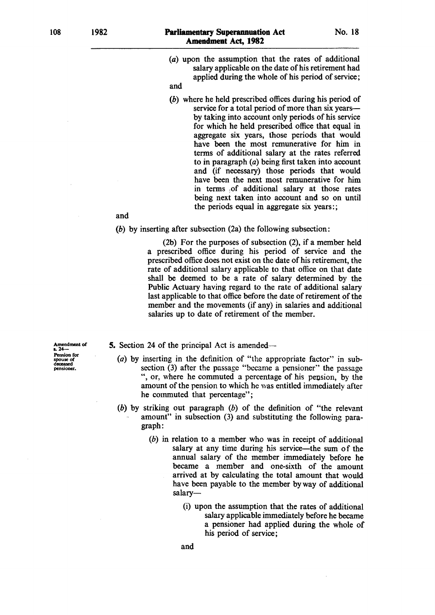1982

108

- (a) upon the assumption that the rates of additional salary applicable on the date of his retirement had applied during the whole of his period of service;
- and
- (b) where he held prescribed offices during his period of service for a total period of more than six yearsby taking into account only periods of his service for which he held prescribed office that equal in aggregate six years, those periods that would have been the most remunerative for him in terms of additional salary at the rates referred to in paragraph (a) being first taken into account and (if necessary) those periods that would have been the next most remunerative for him in terms :of additional salary at those rates being next taken into account and so on until the periods equal in aggregate six years:;

and

(b) by inserting after subsection (2a) the following subsection:

(2b) For the purposes of subsection (2), if a member held a prescribed office during his period of service and the prescribed office does not exist on the date of his retirement, the rate of additional salary applicable to that office on that date shall be deemed to be a rate of salary determined by the Public Actuary having regard to the rate of additional salary last applicable to that office before the date of retirement of the member and the movements (if any) in salaries and additional salaries up to date of retirement of the member.

Amendment of s. 24--Pension for spouse of deceased pensioner.

5. Section 24 of the principal Act is amended-

- (a) by inserting in the definition of "the appropriate factor" in subsection (3) after the passage "became a pensioner" the passage ", or, where he commuted a percentage of his pension, by the amount of the pension to which he was entitled immediately after he commuted that percentage";
- (b) by striking out paragraph  $(b)$  of the definition of "the relevant" amount" in subsection (3) and substituting the following paragraph:
	- (b) in relation to a member who was in receipt of additional salary at any time during his service—the sum of the annual salary of the member immediately before he became a member and one-sixth of the amount arrived at by calculating the total amount that would have been payable to the member by way of additional salary-
		- (i) upon the assumption that the rates of additional salary applicable immediately before he became a pensioner had applied during the whole of his period of service;